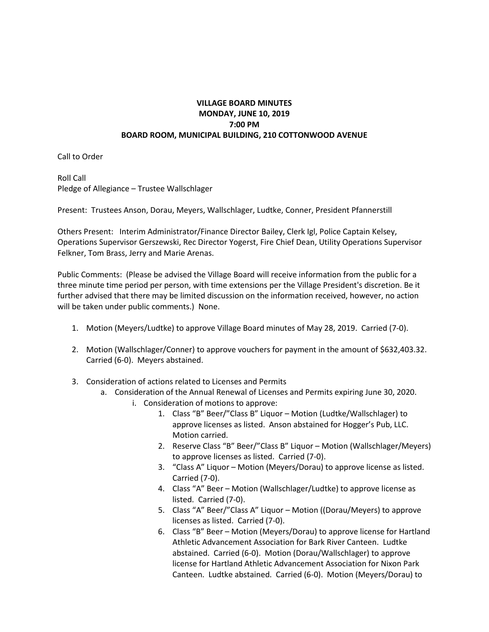## **VILLAGE BOARD MINUTES MONDAY, JUNE 10, 2019 7:00 PM BOARD ROOM, MUNICIPAL BUILDING, 210 COTTONWOOD AVENUE**

Call to Order

Roll Call Pledge of Allegiance – Trustee Wallschlager

Present: Trustees Anson, Dorau, Meyers, Wallschlager, Ludtke, Conner, President Pfannerstill

Others Present: Interim Administrator/Finance Director Bailey, Clerk Igl, Police Captain Kelsey, Operations Supervisor Gerszewski, Rec Director Yogerst, Fire Chief Dean, Utility Operations Supervisor Felkner, Tom Brass, Jerry and Marie Arenas.

Public Comments: (Please be advised the Village Board will receive information from the public for a three minute time period per person, with time extensions per the Village President's discretion. Be it further advised that there may be limited discussion on the information received, however, no action will be taken under public comments.) None.

- 1. Motion (Meyers/Ludtke) to approve Village Board minutes of May 28, 2019. Carried (7-0).
- 2. Motion (Wallschlager/Conner) to approve vouchers for payment in the amount of \$632,403.32. Carried (6-0). Meyers abstained.
- 3. Consideration of actions related to Licenses and Permits
	- a. Consideration of the Annual Renewal of Licenses and Permits expiring June 30, 2020.
		- i. Consideration of motions to approve:
			- 1. Class "B" Beer/"Class B" Liquor Motion (Ludtke/Wallschlager) to approve licenses as listed. Anson abstained for Hogger's Pub, LLC. Motion carried.
			- 2. Reserve Class "B" Beer/"Class B" Liquor Motion (Wallschlager/Meyers) to approve licenses as listed. Carried (7-0).
			- 3. "Class A" Liquor Motion (Meyers/Dorau) to approve license as listed. Carried (7-0).
			- 4. Class "A" Beer Motion (Wallschlager/Ludtke) to approve license as listed. Carried (7-0).
			- 5. Class "A" Beer/"Class A" Liquor Motion ((Dorau/Meyers) to approve licenses as listed. Carried (7-0).
			- 6. Class "B" Beer Motion (Meyers/Dorau) to approve license for Hartland Athletic Advancement Association for Bark River Canteen. Ludtke abstained. Carried (6-0). Motion (Dorau/Wallschlager) to approve license for Hartland Athletic Advancement Association for Nixon Park Canteen. Ludtke abstained. Carried (6-0). Motion (Meyers/Dorau) to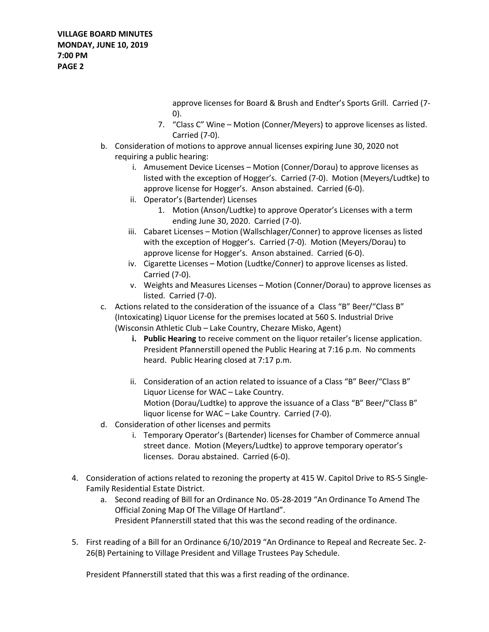approve licenses for Board & Brush and Endter's Sports Grill. Carried (7- 0).

- 7. "Class C" Wine Motion (Conner/Meyers) to approve licenses as listed. Carried (7-0).
- b. Consideration of motions to approve annual licenses expiring June 30, 2020 not requiring a public hearing:
	- i. Amusement Device Licenses Motion (Conner/Dorau) to approve licenses as listed with the exception of Hogger's. Carried (7-0). Motion (Meyers/Ludtke) to approve license for Hogger's. Anson abstained. Carried (6-0).
	- ii. Operator's (Bartender) Licenses
		- 1. Motion (Anson/Ludtke) to approve Operator's Licenses with a term ending June 30, 2020. Carried (7-0).
	- iii. Cabaret Licenses Motion (Wallschlager/Conner) to approve licenses as listed with the exception of Hogger's. Carried (7-0). Motion (Meyers/Dorau) to approve license for Hogger's. Anson abstained. Carried (6-0).
	- iv. Cigarette Licenses Motion (Ludtke/Conner) to approve licenses as listed. Carried (7-0).
	- v. Weights and Measures Licenses Motion (Conner/Dorau) to approve licenses as listed. Carried (7-0).
- c. Actions related to the consideration of the issuance of a Class "B" Beer/"Class B" (Intoxicating) Liquor License for the premises located at 560 S. Industrial Drive (Wisconsin Athletic Club – Lake Country, Chezare Misko, Agent)
	- **i. Public Hearing** to receive comment on the liquor retailer's license application. President Pfannerstill opened the Public Hearing at 7:16 p.m. No comments heard. Public Hearing closed at 7:17 p.m.
	- ii. Consideration of an action related to issuance of a Class "B" Beer/"Class B" Liquor License for WAC – Lake Country. Motion (Dorau/Ludtke) to approve the issuance of a Class "B" Beer/"Class B" liquor license for WAC – Lake Country. Carried (7-0).
- d. Consideration of other licenses and permits
	- i. Temporary Operator's (Bartender) licenses for Chamber of Commerce annual street dance. Motion (Meyers/Ludtke) to approve temporary operator's licenses. Dorau abstained. Carried (6-0).
- 4. Consideration of actions related to rezoning the property at 415 W. Capitol Drive to RS-5 Single-Family Residential Estate District.
	- a. Second reading of Bill for an Ordinance No. 05-28-2019 "An Ordinance To Amend The Official Zoning Map Of The Village Of Hartland". President Pfannerstill stated that this was the second reading of the ordinance.
- 5. First reading of a Bill for an Ordinance 6/10/2019 "An Ordinance to Repeal and Recreate Sec. 2- 26(B) Pertaining to Village President and Village Trustees Pay Schedule.

President Pfannerstill stated that this was a first reading of the ordinance.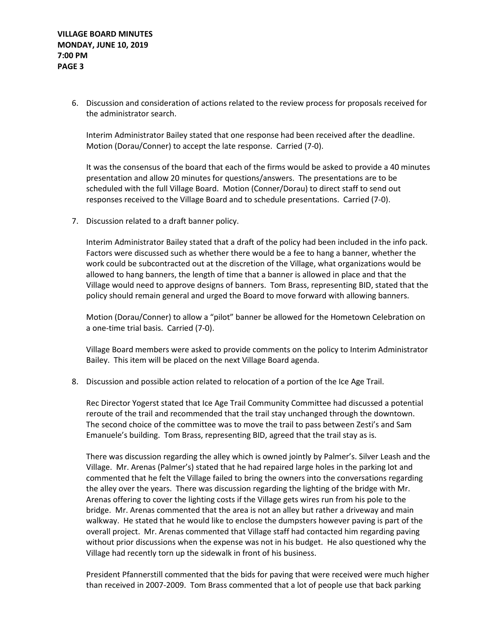6. Discussion and consideration of actions related to the review process for proposals received for the administrator search.

Interim Administrator Bailey stated that one response had been received after the deadline. Motion (Dorau/Conner) to accept the late response. Carried (7-0).

It was the consensus of the board that each of the firms would be asked to provide a 40 minutes presentation and allow 20 minutes for questions/answers. The presentations are to be scheduled with the full Village Board. Motion (Conner/Dorau) to direct staff to send out responses received to the Village Board and to schedule presentations. Carried (7-0).

7. Discussion related to a draft banner policy.

Interim Administrator Bailey stated that a draft of the policy had been included in the info pack. Factors were discussed such as whether there would be a fee to hang a banner, whether the work could be subcontracted out at the discretion of the Village, what organizations would be allowed to hang banners, the length of time that a banner is allowed in place and that the Village would need to approve designs of banners. Tom Brass, representing BID, stated that the policy should remain general and urged the Board to move forward with allowing banners.

Motion (Dorau/Conner) to allow a "pilot" banner be allowed for the Hometown Celebration on a one-time trial basis. Carried (7-0).

Village Board members were asked to provide comments on the policy to Interim Administrator Bailey. This item will be placed on the next Village Board agenda.

8. Discussion and possible action related to relocation of a portion of the Ice Age Trail.

Rec Director Yogerst stated that Ice Age Trail Community Committee had discussed a potential reroute of the trail and recommended that the trail stay unchanged through the downtown. The second choice of the committee was to move the trail to pass between Zesti's and Sam Emanuele's building. Tom Brass, representing BID, agreed that the trail stay as is.

There was discussion regarding the alley which is owned jointly by Palmer's. Silver Leash and the Village. Mr. Arenas (Palmer's) stated that he had repaired large holes in the parking lot and commented that he felt the Village failed to bring the owners into the conversations regarding the alley over the years. There was discussion regarding the lighting of the bridge with Mr. Arenas offering to cover the lighting costs if the Village gets wires run from his pole to the bridge. Mr. Arenas commented that the area is not an alley but rather a driveway and main walkway. He stated that he would like to enclose the dumpsters however paving is part of the overall project. Mr. Arenas commented that Village staff had contacted him regarding paving without prior discussions when the expense was not in his budget. He also questioned why the Village had recently torn up the sidewalk in front of his business.

President Pfannerstill commented that the bids for paving that were received were much higher than received in 2007-2009. Tom Brass commented that a lot of people use that back parking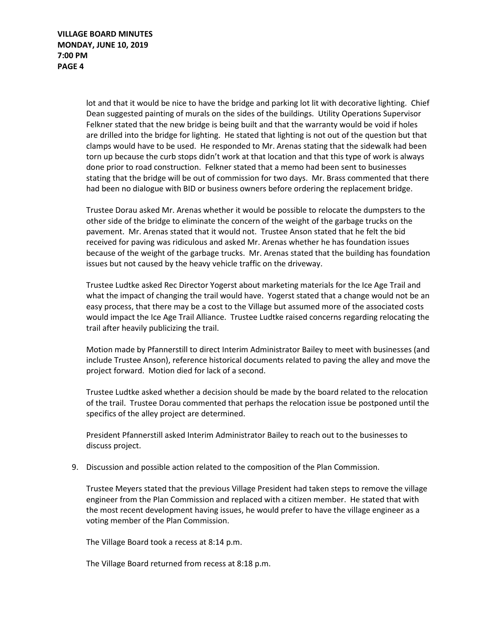lot and that it would be nice to have the bridge and parking lot lit with decorative lighting. Chief Dean suggested painting of murals on the sides of the buildings. Utility Operations Supervisor Felkner stated that the new bridge is being built and that the warranty would be void if holes are drilled into the bridge for lighting. He stated that lighting is not out of the question but that clamps would have to be used. He responded to Mr. Arenas stating that the sidewalk had been torn up because the curb stops didn't work at that location and that this type of work is always done prior to road construction. Felkner stated that a memo had been sent to businesses stating that the bridge will be out of commission for two days. Mr. Brass commented that there had been no dialogue with BID or business owners before ordering the replacement bridge.

Trustee Dorau asked Mr. Arenas whether it would be possible to relocate the dumpsters to the other side of the bridge to eliminate the concern of the weight of the garbage trucks on the pavement. Mr. Arenas stated that it would not. Trustee Anson stated that he felt the bid received for paving was ridiculous and asked Mr. Arenas whether he has foundation issues because of the weight of the garbage trucks. Mr. Arenas stated that the building has foundation issues but not caused by the heavy vehicle traffic on the driveway.

Trustee Ludtke asked Rec Director Yogerst about marketing materials for the Ice Age Trail and what the impact of changing the trail would have. Yogerst stated that a change would not be an easy process, that there may be a cost to the Village but assumed more of the associated costs would impact the Ice Age Trail Alliance. Trustee Ludtke raised concerns regarding relocating the trail after heavily publicizing the trail.

Motion made by Pfannerstill to direct Interim Administrator Bailey to meet with businesses (and include Trustee Anson), reference historical documents related to paving the alley and move the project forward. Motion died for lack of a second.

Trustee Ludtke asked whether a decision should be made by the board related to the relocation of the trail. Trustee Dorau commented that perhaps the relocation issue be postponed until the specifics of the alley project are determined.

President Pfannerstill asked Interim Administrator Bailey to reach out to the businesses to discuss project.

9. Discussion and possible action related to the composition of the Plan Commission.

Trustee Meyers stated that the previous Village President had taken steps to remove the village engineer from the Plan Commission and replaced with a citizen member. He stated that with the most recent development having issues, he would prefer to have the village engineer as a voting member of the Plan Commission.

The Village Board took a recess at 8:14 p.m.

The Village Board returned from recess at 8:18 p.m.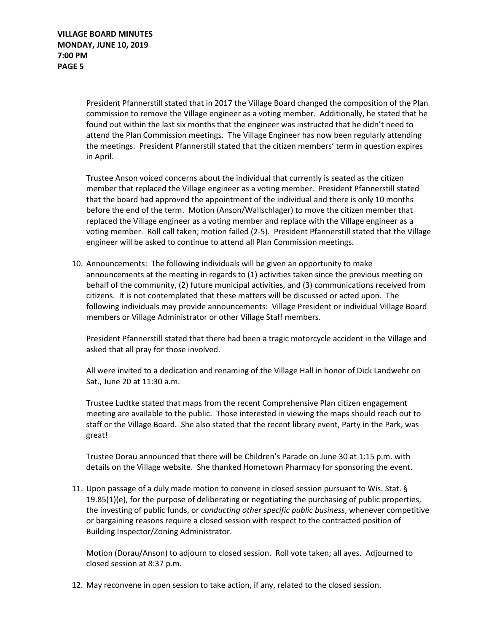President Pfannerstill stated that in 2017 the Village Board changed the composition of the Plan commission to remove the Village engineer as a voting member. Additionally, he stated that he found out within the last six months that the engineer was instructed that he didn't need to attend the Plan Commission meetings. The Village Engineer has now been regularly attending the meetings. President Pfannerstill stated that the citizen members' term in question expires in April.

Trustee Anson voiced concerns about the individual that currently is seated as the citizen member that replaced the Village engineer as a voting member. President Pfannerstill stated that the board had approved the appointment of the individual and there is only 10 months before the end of the term. Motion (Anson/Wallschlager) to move the citizen member that replaced the Village engineer as a voting member and replace with the Village engineer as a voting member. Roll call taken; motion failed (2-5). President Pfannerstill stated that the Village engineer will be asked to continue to attend all Plan Commission meetings.

10. Announcements: The following individuals will be given an opportunity to make announcements at the meeting in regards to (1) activities taken since the previous meeting on behalf of the community, (2) future municipal activities, and (3) communications received from citizens. It is not contemplated that these matters will be discussed or acted upon. The following individuals may provide announcements: Village President or individual Village Board members or Village Administrator or other Village Staff members.

President Pfannerstill stated that there had been a tragic motorcycle accident in the Village and asked that all pray for those involved.

All were invited to a dedication and renaming of the Village Hall in honor of Dick Landwehr on Sat., June 20 at 11:30 a.m.

Trustee Ludtke stated that maps from the recent Comprehensive Plan citizen engagement meeting are available to the public. Those interested in viewing the maps should reach out to staff or the Village Board. She also stated that the recent library event, Party in the Park, was great!

Trustee Dorau announced that there will be Children's Parade on June 30 at 1:15 p.m. with details on the Village website. She thanked Hometown Pharmacy for sponsoring the event.

11. Upon passage of a duly made motion to convene in closed session pursuant to Wis. Stat. § 19.85(1)(e), for the purpose of deliberating or negotiating the purchasing of public properties, the investing of public funds, or *conducting other specific public business*, whenever competitive or bargaining reasons require a closed session with respect to the contracted position of Building Inspector/Zoning Administrator.

Motion (Dorau/Anson) to adjourn to closed session. Roll vote taken; all ayes. Adjourned to closed session at 8:37 p.m.

12. May reconvene in open session to take action, if any, related to the closed session.